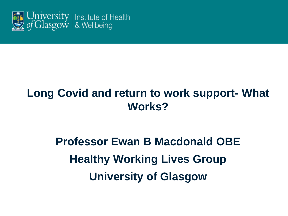

## **Long Covid and return to work support- What Works?**

# **Professor Ewan B Macdonald OBE Healthy Working Lives Group University of Glasgow**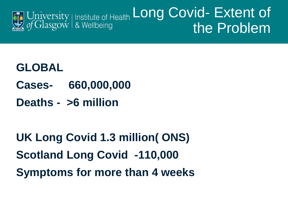

### **GLOBAL**

- **Cases- 660,000,000**
- **Deaths - >6 million**

# **UK Long Covid 1.3 million( ONS) Scotland Long Covid -110,000 Symptoms for more than 4 weeks**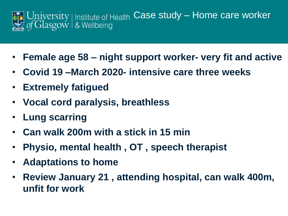

- **Female age 58 – night support worker- very fit and active**
- **Covid 19 –March 2020- intensive care three weeks**
- **Extremely fatigued**
- **Vocal cord paralysis, breathless**
- **Lung scarring**
- **Can walk 200m with a stick in 15 min**
- **Physio, mental health , OT , speech therapist**
- **Adaptations to home**
- **Review January 21 , attending hospital, can walk 400m, unfit for work**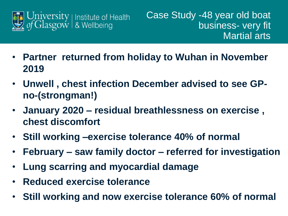

Case Study -48 year old boat business- very fit Martial arts

- **Partner returned from holiday to Wuhan in November 2019**
- **Unwell , chest infection December advised to see GPno-(strongman!)**
- **January 2020 – residual breathlessness on exercise , chest discomfort**
- **Still working –exercise tolerance 40% of normal**
- **February – saw family doctor – referred for investigation**
- **Lung scarring and myocardial damage**
- **Reduced exercise tolerance**
- **Still working and now exercise tolerance 60% of normal**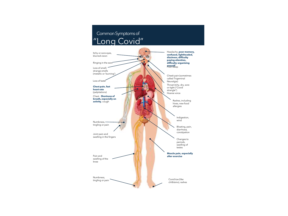### "Long Covid" Common Symptoms of

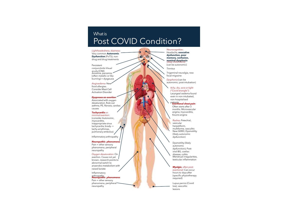### Post COVID Condition? What is

 $\rightarrow$ **CO SP**  $\overline{\phantom{a}}$ 

*Lightheadedness, dizziness*: Very common **Autonomic Dysfunction** (PoTS); nondrug and drug treatments

#### Persistent

conjunctivitis Visual acuity (CNII) Anosmia, parosmia, (often metallic or like burning) + dysgeusia

#### *Angioedema*: New food allergies.

Consider Mast Cell Activation Disorder

#### *Dyspnoea on exertion*:

Associated with oxygen desaturation. Rule out asthma, PE, fibrosis, cardiac causes

#### *Tachycardia on*

*minimal exertion*: (consider Autonomic, myocarditis, inappropriate sinus tachycardia, brady- + tachy-arrythmias, pulmonary embolus)

Inflammatory arthropathy

#### *Neuropathic phenomena*:

Pain + other sensory phenomena, peripheral neuropathy

#### *Oxygen desaturation*: On exertion. Cause not yet known, research points to abnormal switch to anaerobic metabolism with

raised lactate

#### Inflammatory

arthropathy *Neuropathic phenomena*: Pain + other sensory phenomena, peripheral neuropathy

#### *Sleep disturbance*  **nominal dysphasia** *Neurocognitive*: Headache, **executive dysfunction, poor memory, confusion,**

(can be autonomic) Tinnitus

Trigeminal neuralgia, new focal migraine

*Dysphonia* (can be autonomic; post-intubation)

#### *Itchy, dry, sore or tight ("Covid strangle")*:

Laryngeal oedema found even in non-intubated, non-hospitalised

#### patients *Exertional chest pain*:

Often starts after 3 months. Microvascular angina, myocarditis, Kounis angina

*Rashes*: Petechial, vesicular herpetiform, multiforme, vasculitic New GERD; Dysmotility (likely autonomic dysfunction)

#### Dysmotility (likely autonomic dysfunction); Postviral IBS, coeliac disease, colitis Menstrual irregularities, testicular inflammation

*Myalgia, often postexertional*: Can occur hours to days after (specific physiotherapy required)

Lupus pernio (Covid toe), vasculitic lesions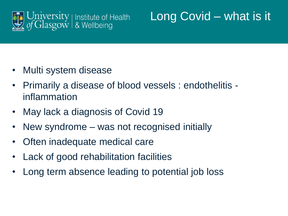

## Long Covid – what is it

- Multi system disease
- Primarily a disease of blood vessels : endothelitis inflammation
- May lack a diagnosis of Covid 19
- New syndrome was not recognised initially
- Often inadequate medical care
- Lack of good rehabilitation facilities
- Long term absence leading to potential job loss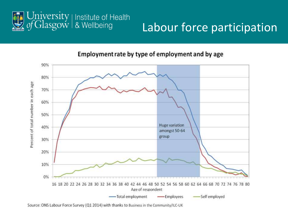

## Labour force participation

### Employment rate by type of employment and by age



Source: ONS Labour Force Survey (Q1 2014) with thanks to Business in the Community/ILC-UK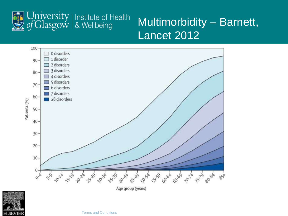

### Multimorbidity – Barnett, Lancet 2012





[Terms and Conditions](http://www.elsevier.com/termsandconditions)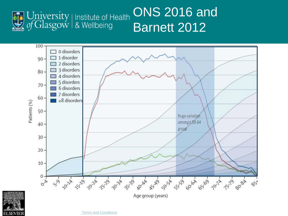### ONS 2016 and Juniversity | Institute of Health<br>Z of Glasgow | & Wellbeing Barnett 2012





[Terms and Conditions](http://www.elsevier.com/termsandconditions)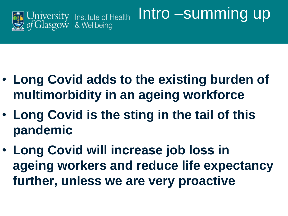

# • **Long Covid adds to the existing burden of multimorbidity in an ageing workforce**

Intro –summing up

- **Long Covid is the sting in the tail of this pandemic**
- **Long Covid will increase job loss in ageing workers and reduce life expectancy further, unless we are very proactive**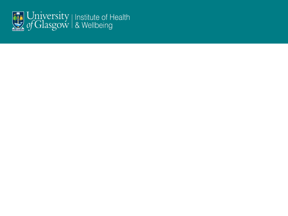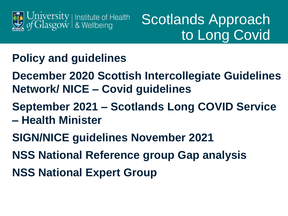

Scotlands Approach to Long Covid

## **Policy and guidelines**

**December 2020 Scottish Intercollegiate Guidelines Network/ NICE – Covid guidelines**

- **September 2021 – Scotlands Long COVID Service – Health Minister**
- **SIGN/NICE guidelines November 2021**
- **NSS National Reference group Gap analysis**
- **NSS National Expert Group**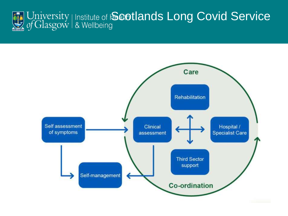

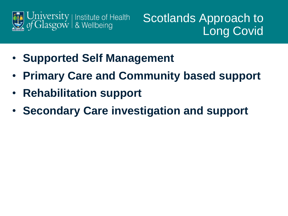

Scotlands Approach to Long Covid

- **Supported Self Management**
- **Primary Care and Community based support**
- **Rehabilitation support**
- **Secondary Care investigation and support**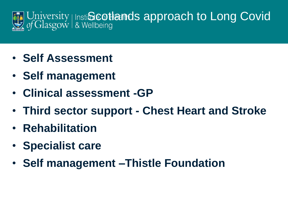

- **Self Assessment**
- **Self management**
- **Clinical assessment -GP**
- **Third sector support - Chest Heart and Stroke**
- **Rehabilitation**
- **Specialist care**
- **Self management –Thistle Foundation**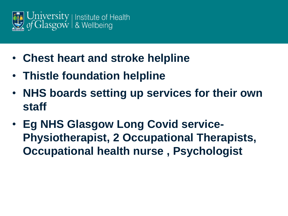

- **Chest heart and stroke helpline**
- **Thistle foundation helpline**
- **NHS boards setting up services for their own staff**
- **Eg NHS Glasgow Long Covid service-Physiotherapist, 2 Occupational Therapists, Occupational health nurse , Psychologist**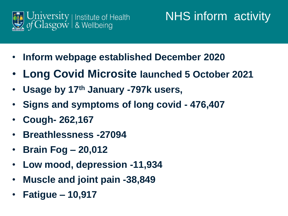

## NHS inform activity

- **Inform webpage established December 2020**
- **Long Covid Microsite launched 5 October 2021**
- **Usage by 17th January -797k users,**
- **Signs and symptoms of long covid - 476,407**
- **Cough- 262,167**
- **Breathlessness -27094**
- **Brain Fog – 20,012**
- **Low mood, depression -11,934**
- **Muscle and joint pain -38,849**
- **Fatigue – 10,917**